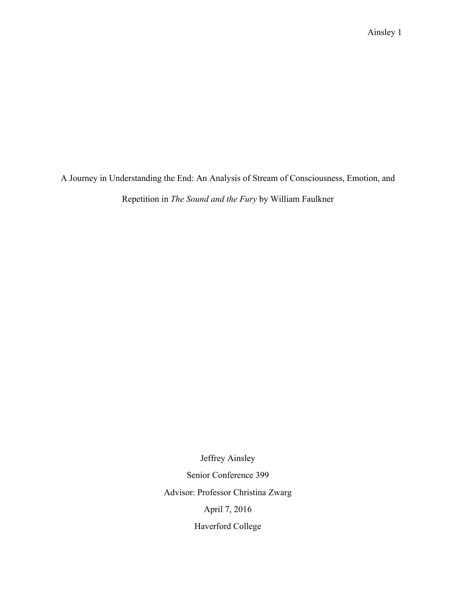A Journey in Understanding the End: An Analysis of Stream of Consciousness, Emotion, and

Repetition in *The Sound and the Fury* by William Faulkner

Jeffrey Ainsley Senior Conference 399 Advisor: Professor Christina Zwarg April 7, 2016 Haverford College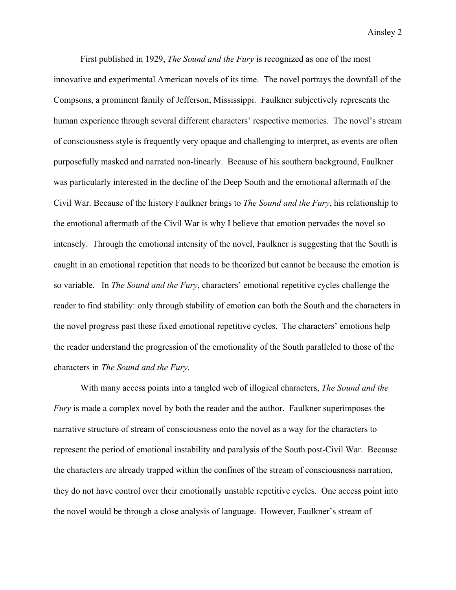First published in 1929, *The Sound and the Fury* is recognized as one of the most innovative and experimental American novels of its time. The novel portrays the downfall of the Compsons, a prominent family of Jefferson, Mississippi. Faulkner subjectively represents the human experience through several different characters' respective memories. The novel's stream of consciousness style is frequently very opaque and challenging to interpret, as events are often purposefully masked and narrated non-linearly. Because of his southern background, Faulkner was particularly interested in the decline of the Deep South and the emotional aftermath of the Civil War. Because of the history Faulkner brings to *The Sound and the Fury*, his relationship to the emotional aftermath of the Civil War is why I believe that emotion pervades the novel so intensely. Through the emotional intensity of the novel, Faulkner is suggesting that the South is caught in an emotional repetition that needs to be theorized but cannot be because the emotion is so variable. In *The Sound and the Fury*, characters' emotional repetitive cycles challenge the reader to find stability: only through stability of emotion can both the South and the characters in the novel progress past these fixed emotional repetitive cycles. The characters' emotions help the reader understand the progression of the emotionality of the South paralleled to those of the characters in *The Sound and the Fury*.

With many access points into a tangled web of illogical characters, *The Sound and the Fury* is made a complex novel by both the reader and the author. Faulkner superimposes the narrative structure of stream of consciousness onto the novel as a way for the characters to represent the period of emotional instability and paralysis of the South post-Civil War. Because the characters are already trapped within the confines of the stream of consciousness narration, they do not have control over their emotionally unstable repetitive cycles. One access point into the novel would be through a close analysis of language. However, Faulkner's stream of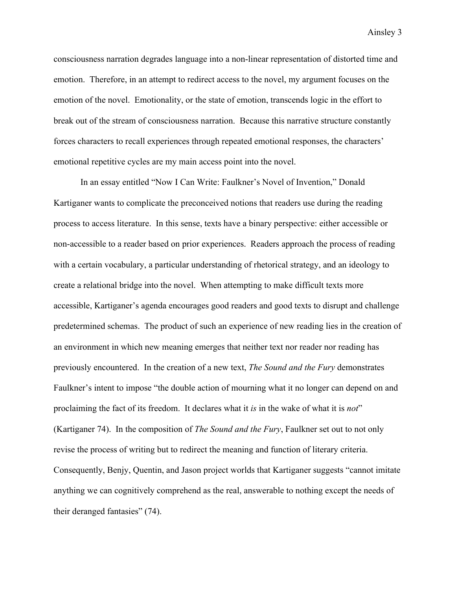consciousness narration degrades language into a non-linear representation of distorted time and emotion. Therefore, in an attempt to redirect access to the novel, my argument focuses on the emotion of the novel. Emotionality, or the state of emotion, transcends logic in the effort to break out of the stream of consciousness narration. Because this narrative structure constantly forces characters to recall experiences through repeated emotional responses, the characters' emotional repetitive cycles are my main access point into the novel.

In an essay entitled "Now I Can Write: Faulkner's Novel of Invention," Donald Kartiganer wants to complicate the preconceived notions that readers use during the reading process to access literature. In this sense, texts have a binary perspective: either accessible or non-accessible to a reader based on prior experiences. Readers approach the process of reading with a certain vocabulary, a particular understanding of rhetorical strategy, and an ideology to create a relational bridge into the novel. When attempting to make difficult texts more accessible, Kartiganer's agenda encourages good readers and good texts to disrupt and challenge predetermined schemas. The product of such an experience of new reading lies in the creation of an environment in which new meaning emerges that neither text nor reader nor reading has previously encountered. In the creation of a new text, *The Sound and the Fury* demonstrates Faulkner's intent to impose "the double action of mourning what it no longer can depend on and proclaiming the fact of its freedom. It declares what it *is* in the wake of what it is *not*" (Kartiganer 74). In the composition of *The Sound and the Fury*, Faulkner set out to not only revise the process of writing but to redirect the meaning and function of literary criteria. Consequently, Benjy, Quentin, and Jason project worlds that Kartiganer suggests "cannot imitate anything we can cognitively comprehend as the real, answerable to nothing except the needs of their deranged fantasies" (74).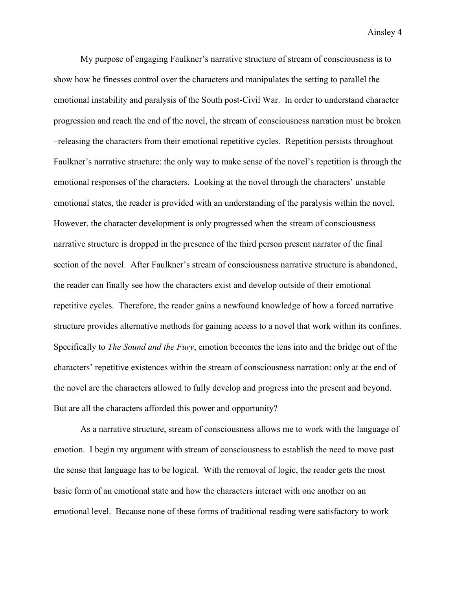My purpose of engaging Faulkner's narrative structure of stream of consciousness is to show how he finesses control over the characters and manipulates the setting to parallel the emotional instability and paralysis of the South post-Civil War. In order to understand character progression and reach the end of the novel, the stream of consciousness narration must be broken –releasing the characters from their emotional repetitive cycles. Repetition persists throughout Faulkner's narrative structure: the only way to make sense of the novel's repetition is through the emotional responses of the characters. Looking at the novel through the characters' unstable emotional states, the reader is provided with an understanding of the paralysis within the novel. However, the character development is only progressed when the stream of consciousness narrative structure is dropped in the presence of the third person present narrator of the final section of the novel. After Faulkner's stream of consciousness narrative structure is abandoned, the reader can finally see how the characters exist and develop outside of their emotional repetitive cycles. Therefore, the reader gains a newfound knowledge of how a forced narrative structure provides alternative methods for gaining access to a novel that work within its confines. Specifically to *The Sound and the Fury*, emotion becomes the lens into and the bridge out of the characters' repetitive existences within the stream of consciousness narration: only at the end of the novel are the characters allowed to fully develop and progress into the present and beyond. But are all the characters afforded this power and opportunity?

As a narrative structure, stream of consciousness allows me to work with the language of emotion. I begin my argument with stream of consciousness to establish the need to move past the sense that language has to be logical. With the removal of logic, the reader gets the most basic form of an emotional state and how the characters interact with one another on an emotional level. Because none of these forms of traditional reading were satisfactory to work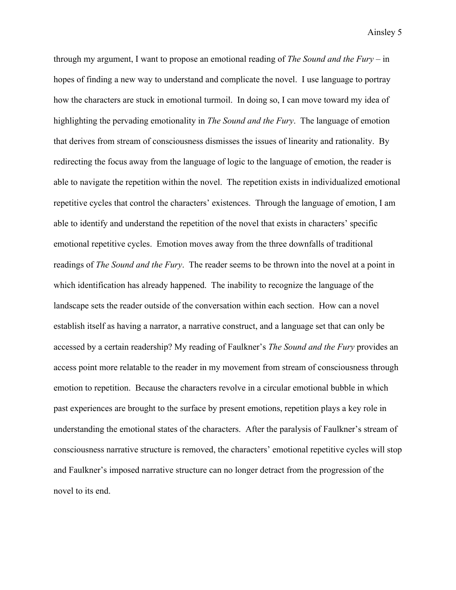through my argument, I want to propose an emotional reading of *The Sound and the Fury* – in hopes of finding a new way to understand and complicate the novel. I use language to portray how the characters are stuck in emotional turmoil. In doing so, I can move toward my idea of highlighting the pervading emotionality in *The Sound and the Fury*. The language of emotion that derives from stream of consciousness dismisses the issues of linearity and rationality. By redirecting the focus away from the language of logic to the language of emotion, the reader is able to navigate the repetition within the novel. The repetition exists in individualized emotional repetitive cycles that control the characters' existences. Through the language of emotion, I am able to identify and understand the repetition of the novel that exists in characters' specific emotional repetitive cycles. Emotion moves away from the three downfalls of traditional readings of *The Sound and the Fury*. The reader seems to be thrown into the novel at a point in which identification has already happened. The inability to recognize the language of the landscape sets the reader outside of the conversation within each section. How can a novel establish itself as having a narrator, a narrative construct, and a language set that can only be accessed by a certain readership? My reading of Faulkner's *The Sound and the Fury* provides an access point more relatable to the reader in my movement from stream of consciousness through emotion to repetition. Because the characters revolve in a circular emotional bubble in which past experiences are brought to the surface by present emotions, repetition plays a key role in understanding the emotional states of the characters. After the paralysis of Faulkner's stream of consciousness narrative structure is removed, the characters' emotional repetitive cycles will stop and Faulkner's imposed narrative structure can no longer detract from the progression of the novel to its end.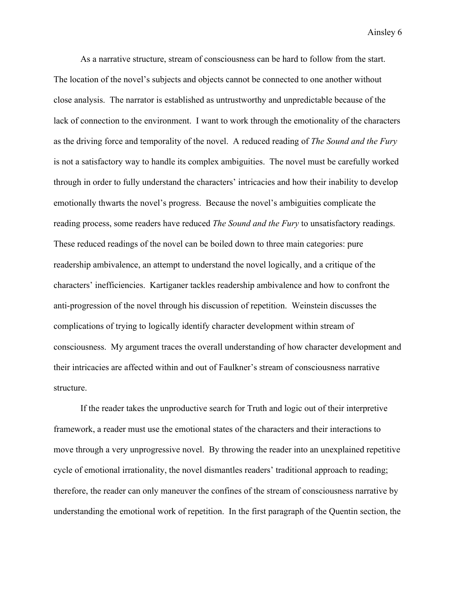As a narrative structure, stream of consciousness can be hard to follow from the start. The location of the novel's subjects and objects cannot be connected to one another without close analysis. The narrator is established as untrustworthy and unpredictable because of the lack of connection to the environment. I want to work through the emotionality of the characters as the driving force and temporality of the novel. A reduced reading of *The Sound and the Fury* is not a satisfactory way to handle its complex ambiguities. The novel must be carefully worked through in order to fully understand the characters' intricacies and how their inability to develop emotionally thwarts the novel's progress. Because the novel's ambiguities complicate the reading process, some readers have reduced *The Sound and the Fury* to unsatisfactory readings. These reduced readings of the novel can be boiled down to three main categories: pure readership ambivalence, an attempt to understand the novel logically, and a critique of the characters' inefficiencies. Kartiganer tackles readership ambivalence and how to confront the anti-progression of the novel through his discussion of repetition. Weinstein discusses the complications of trying to logically identify character development within stream of consciousness. My argument traces the overall understanding of how character development and their intricacies are affected within and out of Faulkner's stream of consciousness narrative structure.

If the reader takes the unproductive search for Truth and logic out of their interpretive framework, a reader must use the emotional states of the characters and their interactions to move through a very unprogressive novel. By throwing the reader into an unexplained repetitive cycle of emotional irrationality, the novel dismantles readers' traditional approach to reading; therefore, the reader can only maneuver the confines of the stream of consciousness narrative by understanding the emotional work of repetition. In the first paragraph of the Quentin section, the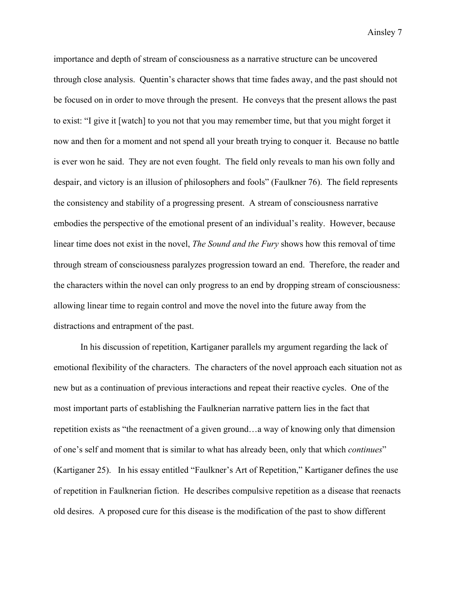importance and depth of stream of consciousness as a narrative structure can be uncovered through close analysis. Quentin's character shows that time fades away, and the past should not be focused on in order to move through the present. He conveys that the present allows the past to exist: "I give it [watch] to you not that you may remember time, but that you might forget it now and then for a moment and not spend all your breath trying to conquer it. Because no battle is ever won he said. They are not even fought. The field only reveals to man his own folly and despair, and victory is an illusion of philosophers and fools" (Faulkner 76). The field represents the consistency and stability of a progressing present. A stream of consciousness narrative embodies the perspective of the emotional present of an individual's reality. However, because linear time does not exist in the novel, *The Sound and the Fury* shows how this removal of time through stream of consciousness paralyzes progression toward an end. Therefore, the reader and the characters within the novel can only progress to an end by dropping stream of consciousness: allowing linear time to regain control and move the novel into the future away from the distractions and entrapment of the past.

In his discussion of repetition, Kartiganer parallels my argument regarding the lack of emotional flexibility of the characters. The characters of the novel approach each situation not as new but as a continuation of previous interactions and repeat their reactive cycles. One of the most important parts of establishing the Faulknerian narrative pattern lies in the fact that repetition exists as "the reenactment of a given ground…a way of knowing only that dimension of one's self and moment that is similar to what has already been, only that which *continues*" (Kartiganer 25). In his essay entitled "Faulkner's Art of Repetition," Kartiganer defines the use of repetition in Faulknerian fiction. He describes compulsive repetition as a disease that reenacts old desires. A proposed cure for this disease is the modification of the past to show different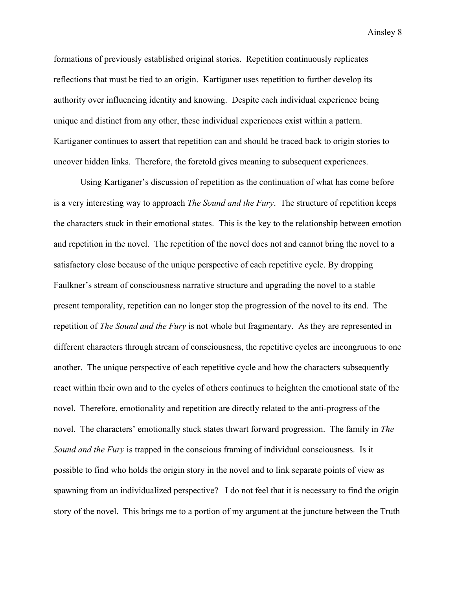formations of previously established original stories. Repetition continuously replicates reflections that must be tied to an origin. Kartiganer uses repetition to further develop its authority over influencing identity and knowing. Despite each individual experience being unique and distinct from any other, these individual experiences exist within a pattern. Kartiganer continues to assert that repetition can and should be traced back to origin stories to uncover hidden links. Therefore, the foretold gives meaning to subsequent experiences.

Using Kartiganer's discussion of repetition as the continuation of what has come before is a very interesting way to approach *The Sound and the Fury*. The structure of repetition keeps the characters stuck in their emotional states. This is the key to the relationship between emotion and repetition in the novel. The repetition of the novel does not and cannot bring the novel to a satisfactory close because of the unique perspective of each repetitive cycle. By dropping Faulkner's stream of consciousness narrative structure and upgrading the novel to a stable present temporality, repetition can no longer stop the progression of the novel to its end. The repetition of *The Sound and the Fury* is not whole but fragmentary. As they are represented in different characters through stream of consciousness, the repetitive cycles are incongruous to one another. The unique perspective of each repetitive cycle and how the characters subsequently react within their own and to the cycles of others continues to heighten the emotional state of the novel. Therefore, emotionality and repetition are directly related to the anti-progress of the novel. The characters' emotionally stuck states thwart forward progression. The family in *The Sound and the Fury* is trapped in the conscious framing of individual consciousness. Is it possible to find who holds the origin story in the novel and to link separate points of view as spawning from an individualized perspective? I do not feel that it is necessary to find the origin story of the novel. This brings me to a portion of my argument at the juncture between the Truth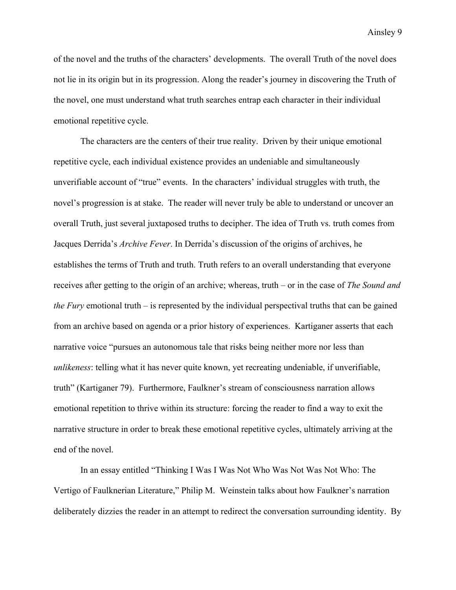of the novel and the truths of the characters' developments. The overall Truth of the novel does not lie in its origin but in its progression. Along the reader's journey in discovering the Truth of the novel, one must understand what truth searches entrap each character in their individual emotional repetitive cycle.

The characters are the centers of their true reality. Driven by their unique emotional repetitive cycle, each individual existence provides an undeniable and simultaneously unverifiable account of "true" events. In the characters' individual struggles with truth, the novel's progression is at stake. The reader will never truly be able to understand or uncover an overall Truth, just several juxtaposed truths to decipher. The idea of Truth vs. truth comes from Jacques Derrida's *Archive Fever*. In Derrida's discussion of the origins of archives, he establishes the terms of Truth and truth. Truth refers to an overall understanding that everyone receives after getting to the origin of an archive; whereas, truth – or in the case of *The Sound and the Fury* emotional truth – is represented by the individual perspectival truths that can be gained from an archive based on agenda or a prior history of experiences. Kartiganer asserts that each narrative voice "pursues an autonomous tale that risks being neither more nor less than *unlikeness*: telling what it has never quite known, yet recreating undeniable, if unverifiable, truth" (Kartiganer 79). Furthermore, Faulkner's stream of consciousness narration allows emotional repetition to thrive within its structure: forcing the reader to find a way to exit the narrative structure in order to break these emotional repetitive cycles, ultimately arriving at the end of the novel.

In an essay entitled "Thinking I Was I Was Not Who Was Not Was Not Who: The Vertigo of Faulknerian Literature," Philip M. Weinstein talks about how Faulkner's narration deliberately dizzies the reader in an attempt to redirect the conversation surrounding identity. By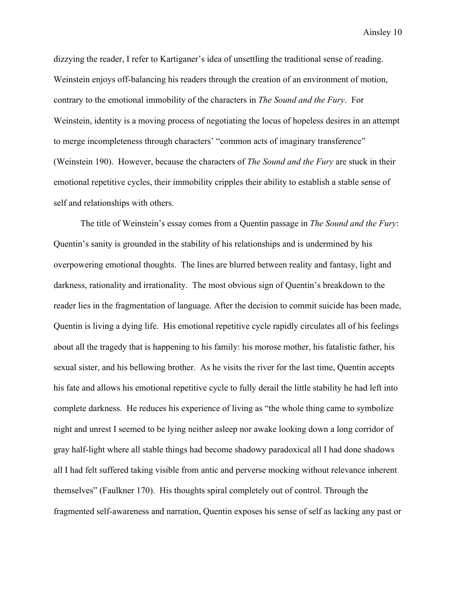dizzying the reader, I refer to Kartiganer's idea of unsettling the traditional sense of reading. Weinstein enjoys off-balancing his readers through the creation of an environment of motion, contrary to the emotional immobility of the characters in *The Sound and the Fury*. For Weinstein, identity is a moving process of negotiating the locus of hopeless desires in an attempt to merge incompleteness through characters' "common acts of imaginary transference" (Weinstein 190). However, because the characters of *The Sound and the Fury* are stuck in their emotional repetitive cycles, their immobility cripples their ability to establish a stable sense of self and relationships with others.

The title of Weinstein's essay comes from a Quentin passage in *The Sound and the Fury*: Quentin's sanity is grounded in the stability of his relationships and is undermined by his overpowering emotional thoughts. The lines are blurred between reality and fantasy, light and darkness, rationality and irrationality. The most obvious sign of Quentin's breakdown to the reader lies in the fragmentation of language. After the decision to commit suicide has been made, Quentin is living a dying life. His emotional repetitive cycle rapidly circulates all of his feelings about all the tragedy that is happening to his family: his morose mother, his fatalistic father, his sexual sister, and his bellowing brother. As he visits the river for the last time, Quentin accepts his fate and allows his emotional repetitive cycle to fully derail the little stability he had left into complete darkness. He reduces his experience of living as "the whole thing came to symbolize night and unrest I seemed to be lying neither asleep nor awake looking down a long corridor of gray half-light where all stable things had become shadowy paradoxical all I had done shadows all I had felt suffered taking visible from antic and perverse mocking without relevance inherent themselves" (Faulkner 170). His thoughts spiral completely out of control. Through the fragmented self-awareness and narration, Quentin exposes his sense of self as lacking any past or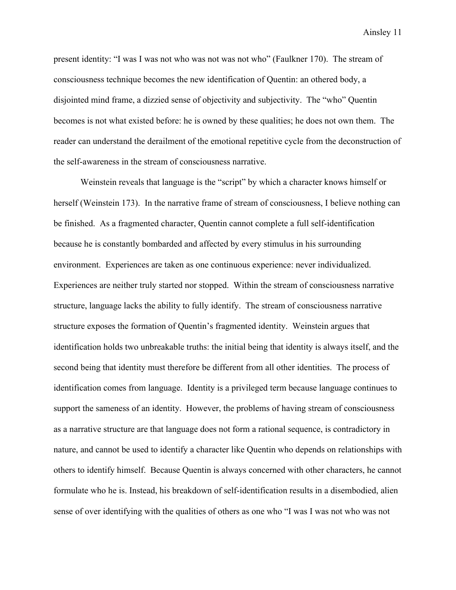present identity: "I was I was not who was not was not who" (Faulkner 170). The stream of consciousness technique becomes the new identification of Quentin: an othered body, a disjointed mind frame, a dizzied sense of objectivity and subjectivity. The "who" Quentin becomes is not what existed before: he is owned by these qualities; he does not own them. The reader can understand the derailment of the emotional repetitive cycle from the deconstruction of the self-awareness in the stream of consciousness narrative.

Weinstein reveals that language is the "script" by which a character knows himself or herself (Weinstein 173). In the narrative frame of stream of consciousness, I believe nothing can be finished. As a fragmented character, Quentin cannot complete a full self-identification because he is constantly bombarded and affected by every stimulus in his surrounding environment. Experiences are taken as one continuous experience: never individualized. Experiences are neither truly started nor stopped. Within the stream of consciousness narrative structure, language lacks the ability to fully identify. The stream of consciousness narrative structure exposes the formation of Quentin's fragmented identity. Weinstein argues that identification holds two unbreakable truths: the initial being that identity is always itself, and the second being that identity must therefore be different from all other identities. The process of identification comes from language. Identity is a privileged term because language continues to support the sameness of an identity. However, the problems of having stream of consciousness as a narrative structure are that language does not form a rational sequence, is contradictory in nature, and cannot be used to identify a character like Quentin who depends on relationships with others to identify himself. Because Quentin is always concerned with other characters, he cannot formulate who he is. Instead, his breakdown of self-identification results in a disembodied, alien sense of over identifying with the qualities of others as one who "I was I was not who was not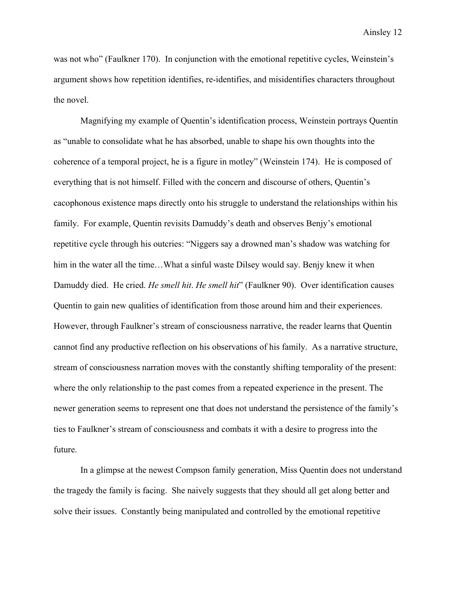was not who" (Faulkner 170). In conjunction with the emotional repetitive cycles, Weinstein's argument shows how repetition identifies, re-identifies, and misidentifies characters throughout the novel.

Magnifying my example of Quentin's identification process, Weinstein portrays Quentin as "unable to consolidate what he has absorbed, unable to shape his own thoughts into the coherence of a temporal project, he is a figure in motley" (Weinstein 174). He is composed of everything that is not himself. Filled with the concern and discourse of others, Quentin's cacophonous existence maps directly onto his struggle to understand the relationships within his family. For example, Quentin revisits Damuddy's death and observes Benjy's emotional repetitive cycle through his outcries: "Niggers say a drowned man's shadow was watching for him in the water all the time...What a sinful waste Dilsey would say. Benjy knew it when Damuddy died. He cried. *He smell hit*. *He smell hit*" (Faulkner 90). Over identification causes Quentin to gain new qualities of identification from those around him and their experiences. However, through Faulkner's stream of consciousness narrative, the reader learns that Quentin cannot find any productive reflection on his observations of his family. As a narrative structure, stream of consciousness narration moves with the constantly shifting temporality of the present: where the only relationship to the past comes from a repeated experience in the present. The newer generation seems to represent one that does not understand the persistence of the family's ties to Faulkner's stream of consciousness and combats it with a desire to progress into the future.

In a glimpse at the newest Compson family generation, Miss Quentin does not understand the tragedy the family is facing. She naively suggests that they should all get along better and solve their issues. Constantly being manipulated and controlled by the emotional repetitive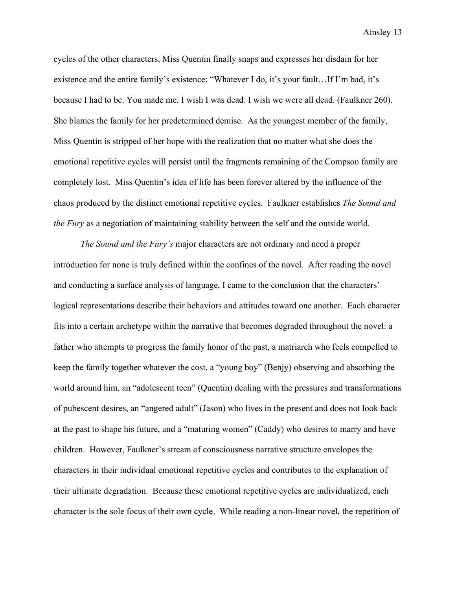cycles of the other characters, Miss Quentin finally snaps and expresses her disdain for her existence and the entire family's existence: "Whatever I do, it's your fault…If I'm bad, it's because I had to be. You made me. I wish I was dead. I wish we were all dead. (Faulkner 260). She blames the family for her predetermined demise. As the youngest member of the family, Miss Quentin is stripped of her hope with the realization that no matter what she does the emotional repetitive cycles will persist until the fragments remaining of the Compson family are completely lost. Miss Quentin's idea of life has been forever altered by the influence of the chaos produced by the distinct emotional repetitive cycles. Faulkner establishes *The Sound and the Fury* as a negotiation of maintaining stability between the self and the outside world.

*The Sound and the Fury's* major characters are not ordinary and need a proper introduction for none is truly defined within the confines of the novel. After reading the novel and conducting a surface analysis of language, I came to the conclusion that the characters' logical representations describe their behaviors and attitudes toward one another. Each character fits into a certain archetype within the narrative that becomes degraded throughout the novel: a father who attempts to progress the family honor of the past, a matriarch who feels compelled to keep the family together whatever the cost, a "young boy" (Benjy) observing and absorbing the world around him, an "adolescent teen" (Quentin) dealing with the pressures and transformations of pubescent desires, an "angered adult" (Jason) who lives in the present and does not look back at the past to shape his future, and a "maturing women" (Caddy) who desires to marry and have children. However, Faulkner's stream of consciousness narrative structure envelopes the characters in their individual emotional repetitive cycles and contributes to the explanation of their ultimate degradation. Because these emotional repetitive cycles are individualized, each character is the sole focus of their own cycle. While reading a non-linear novel, the repetition of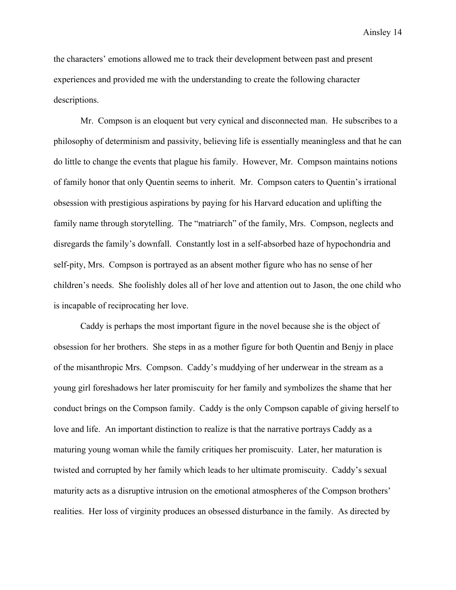the characters' emotions allowed me to track their development between past and present experiences and provided me with the understanding to create the following character descriptions.

Mr. Compson is an eloquent but very cynical and disconnected man. He subscribes to a philosophy of determinism and passivity, believing life is essentially meaningless and that he can do little to change the events that plague his family. However, Mr. Compson maintains notions of family honor that only Quentin seems to inherit. Mr. Compson caters to Quentin's irrational obsession with prestigious aspirations by paying for his Harvard education and uplifting the family name through storytelling. The "matriarch" of the family, Mrs. Compson, neglects and disregards the family's downfall. Constantly lost in a self-absorbed haze of hypochondria and self-pity, Mrs. Compson is portrayed as an absent mother figure who has no sense of her children's needs. She foolishly doles all of her love and attention out to Jason, the one child who is incapable of reciprocating her love.

Caddy is perhaps the most important figure in the novel because she is the object of obsession for her brothers. She steps in as a mother figure for both Quentin and Benjy in place of the misanthropic Mrs. Compson. Caddy's muddying of her underwear in the stream as a young girl foreshadows her later promiscuity for her family and symbolizes the shame that her conduct brings on the Compson family. Caddy is the only Compson capable of giving herself to love and life. An important distinction to realize is that the narrative portrays Caddy as a maturing young woman while the family critiques her promiscuity. Later, her maturation is twisted and corrupted by her family which leads to her ultimate promiscuity. Caddy's sexual maturity acts as a disruptive intrusion on the emotional atmospheres of the Compson brothers' realities. Her loss of virginity produces an obsessed disturbance in the family. As directed by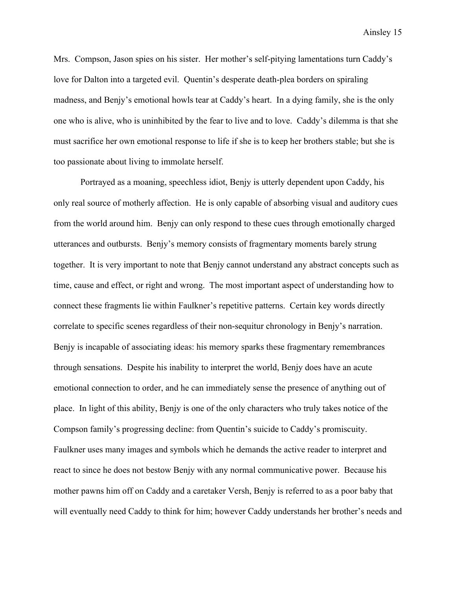Mrs. Compson, Jason spies on his sister. Her mother's self-pitying lamentations turn Caddy's love for Dalton into a targeted evil. Quentin's desperate death-plea borders on spiraling madness, and Benjy's emotional howls tear at Caddy's heart. In a dying family, she is the only one who is alive, who is uninhibited by the fear to live and to love. Caddy's dilemma is that she must sacrifice her own emotional response to life if she is to keep her brothers stable; but she is too passionate about living to immolate herself.

Portrayed as a moaning, speechless idiot, Benjy is utterly dependent upon Caddy, his only real source of motherly affection. He is only capable of absorbing visual and auditory cues from the world around him. Benjy can only respond to these cues through emotionally charged utterances and outbursts. Benjy's memory consists of fragmentary moments barely strung together. It is very important to note that Benjy cannot understand any abstract concepts such as time, cause and effect, or right and wrong. The most important aspect of understanding how to connect these fragments lie within Faulkner's repetitive patterns. Certain key words directly correlate to specific scenes regardless of their non-sequitur chronology in Benjy's narration. Benjy is incapable of associating ideas: his memory sparks these fragmentary remembrances through sensations. Despite his inability to interpret the world, Benjy does have an acute emotional connection to order, and he can immediately sense the presence of anything out of place. In light of this ability, Benjy is one of the only characters who truly takes notice of the Compson family's progressing decline: from Quentin's suicide to Caddy's promiscuity. Faulkner uses many images and symbols which he demands the active reader to interpret and react to since he does not bestow Benjy with any normal communicative power. Because his mother pawns him off on Caddy and a caretaker Versh, Benjy is referred to as a poor baby that will eventually need Caddy to think for him; however Caddy understands her brother's needs and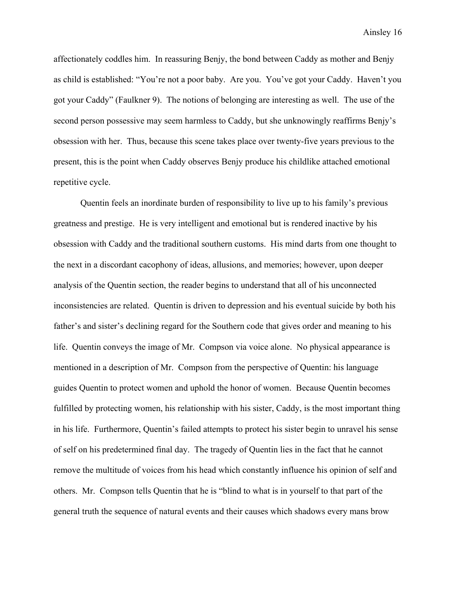affectionately coddles him. In reassuring Benjy, the bond between Caddy as mother and Benjy as child is established: "You're not a poor baby. Are you. You've got your Caddy. Haven't you got your Caddy" (Faulkner 9). The notions of belonging are interesting as well. The use of the second person possessive may seem harmless to Caddy, but she unknowingly reaffirms Benjy's obsession with her. Thus, because this scene takes place over twenty-five years previous to the present, this is the point when Caddy observes Benjy produce his childlike attached emotional repetitive cycle.

Quentin feels an inordinate burden of responsibility to live up to his family's previous greatness and prestige. He is very intelligent and emotional but is rendered inactive by his obsession with Caddy and the traditional southern customs. His mind darts from one thought to the next in a discordant cacophony of ideas, allusions, and memories; however, upon deeper analysis of the Quentin section, the reader begins to understand that all of his unconnected inconsistencies are related. Quentin is driven to depression and his eventual suicide by both his father's and sister's declining regard for the Southern code that gives order and meaning to his life. Quentin conveys the image of Mr. Compson via voice alone. No physical appearance is mentioned in a description of Mr. Compson from the perspective of Quentin: his language guides Quentin to protect women and uphold the honor of women. Because Quentin becomes fulfilled by protecting women, his relationship with his sister, Caddy, is the most important thing in his life. Furthermore, Quentin's failed attempts to protect his sister begin to unravel his sense of self on his predetermined final day. The tragedy of Quentin lies in the fact that he cannot remove the multitude of voices from his head which constantly influence his opinion of self and others. Mr. Compson tells Quentin that he is "blind to what is in yourself to that part of the general truth the sequence of natural events and their causes which shadows every mans brow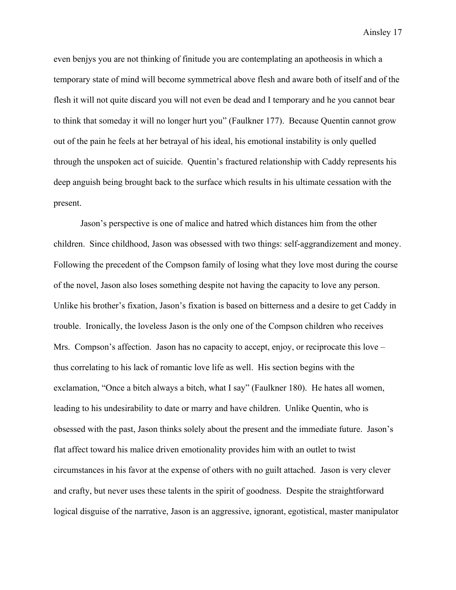even benjys you are not thinking of finitude you are contemplating an apotheosis in which a temporary state of mind will become symmetrical above flesh and aware both of itself and of the flesh it will not quite discard you will not even be dead and I temporary and he you cannot bear to think that someday it will no longer hurt you" (Faulkner 177). Because Quentin cannot grow out of the pain he feels at her betrayal of his ideal, his emotional instability is only quelled through the unspoken act of suicide. Quentin's fractured relationship with Caddy represents his deep anguish being brought back to the surface which results in his ultimate cessation with the present.

Jason's perspective is one of malice and hatred which distances him from the other children. Since childhood, Jason was obsessed with two things: self-aggrandizement and money. Following the precedent of the Compson family of losing what they love most during the course of the novel, Jason also loses something despite not having the capacity to love any person. Unlike his brother's fixation, Jason's fixation is based on bitterness and a desire to get Caddy in trouble. Ironically, the loveless Jason is the only one of the Compson children who receives Mrs. Compson's affection. Jason has no capacity to accept, enjoy, or reciprocate this love – thus correlating to his lack of romantic love life as well. His section begins with the exclamation, "Once a bitch always a bitch, what I say" (Faulkner 180). He hates all women, leading to his undesirability to date or marry and have children. Unlike Quentin, who is obsessed with the past, Jason thinks solely about the present and the immediate future. Jason's flat affect toward his malice driven emotionality provides him with an outlet to twist circumstances in his favor at the expense of others with no guilt attached. Jason is very clever and crafty, but never uses these talents in the spirit of goodness. Despite the straightforward logical disguise of the narrative, Jason is an aggressive, ignorant, egotistical, master manipulator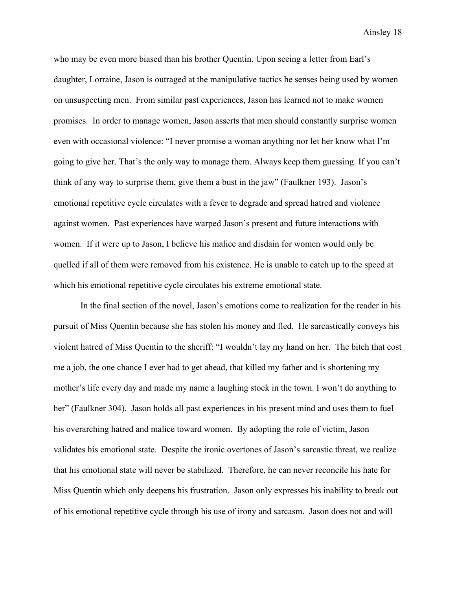who may be even more biased than his brother Quentin. Upon seeing a letter from Earl's daughter, Lorraine, Jason is outraged at the manipulative tactics he senses being used by women on unsuspecting men. From similar past experiences, Jason has learned not to make women promises. In order to manage women, Jason asserts that men should constantly surprise women even with occasional violence: "I never promise a woman anything nor let her know what I'm going to give her. That's the only way to manage them. Always keep them guessing. If you can't think of any way to surprise them, give them a bust in the jaw" (Faulkner 193). Jason's emotional repetitive cycle circulates with a fever to degrade and spread hatred and violence against women. Past experiences have warped Jason's present and future interactions with women. If it were up to Jason, I believe his malice and disdain for women would only be quelled if all of them were removed from his existence. He is unable to catch up to the speed at which his emotional repetitive cycle circulates his extreme emotional state.

In the final section of the novel, Jason's emotions come to realization for the reader in his pursuit of Miss Quentin because she has stolen his money and fled. He sarcastically conveys his violent hatred of Miss Quentin to the sheriff: "I wouldn't lay my hand on her. The bitch that cost me a job, the one chance I ever had to get ahead, that killed my father and is shortening my mother's life every day and made my name a laughing stock in the town. I won't do anything to her" (Faulkner 304). Jason holds all past experiences in his present mind and uses them to fuel his overarching hatred and malice toward women. By adopting the role of victim, Jason validates his emotional state. Despite the ironic overtones of Jason's sarcastic threat, we realize that his emotional state will never be stabilized. Therefore, he can never reconcile his hate for Miss Quentin which only deepens his frustration. Jason only expresses his inability to break out of his emotional repetitive cycle through his use of irony and sarcasm. Jason does not and will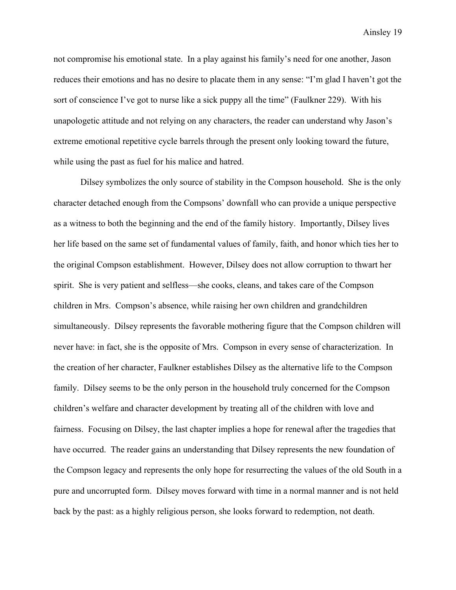not compromise his emotional state. In a play against his family's need for one another, Jason reduces their emotions and has no desire to placate them in any sense: "I'm glad I haven't got the sort of conscience I've got to nurse like a sick puppy all the time" (Faulkner 229). With his unapologetic attitude and not relying on any characters, the reader can understand why Jason's extreme emotional repetitive cycle barrels through the present only looking toward the future, while using the past as fuel for his malice and hatred.

Dilsey symbolizes the only source of stability in the Compson household. She is the only character detached enough from the Compsons' downfall who can provide a unique perspective as a witness to both the beginning and the end of the family history. Importantly, Dilsey lives her life based on the same set of fundamental values of family, faith, and honor which ties her to the original Compson establishment. However, Dilsey does not allow corruption to thwart her spirit. She is very patient and selfless—she cooks, cleans, and takes care of the Compson children in Mrs. Compson's absence, while raising her own children and grandchildren simultaneously. Dilsey represents the favorable mothering figure that the Compson children will never have: in fact, she is the opposite of Mrs. Compson in every sense of characterization. In the creation of her character, Faulkner establishes Dilsey as the alternative life to the Compson family. Dilsey seems to be the only person in the household truly concerned for the Compson children's welfare and character development by treating all of the children with love and fairness. Focusing on Dilsey, the last chapter implies a hope for renewal after the tragedies that have occurred. The reader gains an understanding that Dilsey represents the new foundation of the Compson legacy and represents the only hope for resurrecting the values of the old South in a pure and uncorrupted form. Dilsey moves forward with time in a normal manner and is not held back by the past: as a highly religious person, she looks forward to redemption, not death.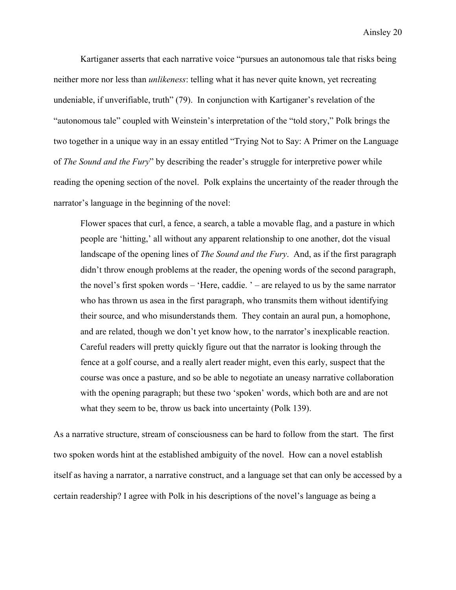Kartiganer asserts that each narrative voice "pursues an autonomous tale that risks being neither more nor less than *unlikeness*: telling what it has never quite known, yet recreating undeniable, if unverifiable, truth" (79). In conjunction with Kartiganer's revelation of the "autonomous tale" coupled with Weinstein's interpretation of the "told story," Polk brings the two together in a unique way in an essay entitled "Trying Not to Say: A Primer on the Language of *The Sound and the Fury*" by describing the reader's struggle for interpretive power while reading the opening section of the novel. Polk explains the uncertainty of the reader through the narrator's language in the beginning of the novel:

Flower spaces that curl, a fence, a search, a table a movable flag, and a pasture in which people are 'hitting,' all without any apparent relationship to one another, dot the visual landscape of the opening lines of *The Sound and the Fury*. And, as if the first paragraph didn't throw enough problems at the reader, the opening words of the second paragraph, the novel's first spoken words – 'Here, caddie. ' – are relayed to us by the same narrator who has thrown us asea in the first paragraph, who transmits them without identifying their source, and who misunderstands them. They contain an aural pun, a homophone, and are related, though we don't yet know how, to the narrator's inexplicable reaction. Careful readers will pretty quickly figure out that the narrator is looking through the fence at a golf course, and a really alert reader might, even this early, suspect that the course was once a pasture, and so be able to negotiate an uneasy narrative collaboration with the opening paragraph; but these two 'spoken' words, which both are and are not what they seem to be, throw us back into uncertainty (Polk 139).

As a narrative structure, stream of consciousness can be hard to follow from the start. The first two spoken words hint at the established ambiguity of the novel. How can a novel establish itself as having a narrator, a narrative construct, and a language set that can only be accessed by a certain readership? I agree with Polk in his descriptions of the novel's language as being a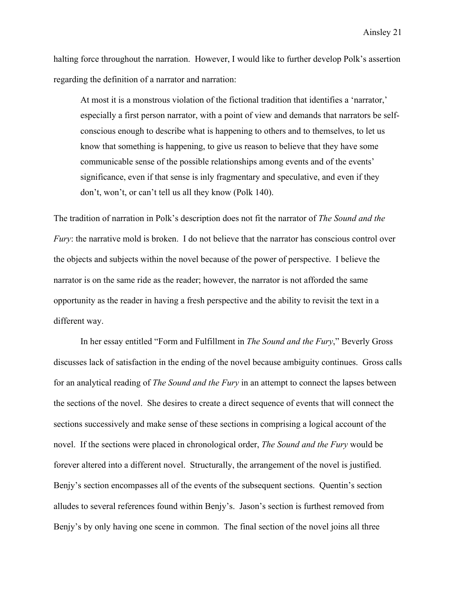halting force throughout the narration. However, I would like to further develop Polk's assertion regarding the definition of a narrator and narration:

At most it is a monstrous violation of the fictional tradition that identifies a 'narrator,' especially a first person narrator, with a point of view and demands that narrators be selfconscious enough to describe what is happening to others and to themselves, to let us know that something is happening, to give us reason to believe that they have some communicable sense of the possible relationships among events and of the events' significance, even if that sense is inly fragmentary and speculative, and even if they don't, won't, or can't tell us all they know (Polk 140).

The tradition of narration in Polk's description does not fit the narrator of *The Sound and the Fury*: the narrative mold is broken. I do not believe that the narrator has conscious control over the objects and subjects within the novel because of the power of perspective. I believe the narrator is on the same ride as the reader; however, the narrator is not afforded the same opportunity as the reader in having a fresh perspective and the ability to revisit the text in a different way.

In her essay entitled "Form and Fulfillment in *The Sound and the Fury*," Beverly Gross discusses lack of satisfaction in the ending of the novel because ambiguity continues. Gross calls for an analytical reading of *The Sound and the Fury* in an attempt to connect the lapses between the sections of the novel. She desires to create a direct sequence of events that will connect the sections successively and make sense of these sections in comprising a logical account of the novel. If the sections were placed in chronological order, *The Sound and the Fury* would be forever altered into a different novel. Structurally, the arrangement of the novel is justified. Benjy's section encompasses all of the events of the subsequent sections. Quentin's section alludes to several references found within Benjy's. Jason's section is furthest removed from Benjy's by only having one scene in common. The final section of the novel joins all three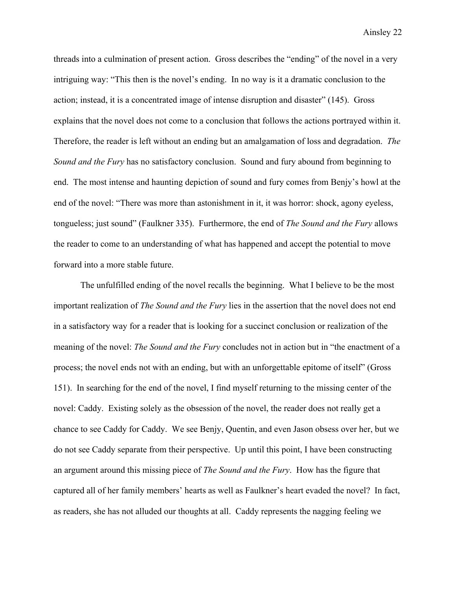threads into a culmination of present action. Gross describes the "ending" of the novel in a very intriguing way: "This then is the novel's ending. In no way is it a dramatic conclusion to the action; instead, it is a concentrated image of intense disruption and disaster" (145). Gross explains that the novel does not come to a conclusion that follows the actions portrayed within it. Therefore, the reader is left without an ending but an amalgamation of loss and degradation. *The Sound and the Fury* has no satisfactory conclusion. Sound and fury abound from beginning to end. The most intense and haunting depiction of sound and fury comes from Benjy's howl at the end of the novel: "There was more than astonishment in it, it was horror: shock, agony eyeless, tongueless; just sound" (Faulkner 335). Furthermore, the end of *The Sound and the Fury* allows the reader to come to an understanding of what has happened and accept the potential to move forward into a more stable future.

The unfulfilled ending of the novel recalls the beginning. What I believe to be the most important realization of *The Sound and the Fury* lies in the assertion that the novel does not end in a satisfactory way for a reader that is looking for a succinct conclusion or realization of the meaning of the novel: *The Sound and the Fury* concludes not in action but in "the enactment of a process; the novel ends not with an ending, but with an unforgettable epitome of itself" (Gross 151). In searching for the end of the novel, I find myself returning to the missing center of the novel: Caddy. Existing solely as the obsession of the novel, the reader does not really get a chance to see Caddy for Caddy. We see Benjy, Quentin, and even Jason obsess over her, but we do not see Caddy separate from their perspective. Up until this point, I have been constructing an argument around this missing piece of *The Sound and the Fury*. How has the figure that captured all of her family members' hearts as well as Faulkner's heart evaded the novel? In fact, as readers, she has not alluded our thoughts at all. Caddy represents the nagging feeling we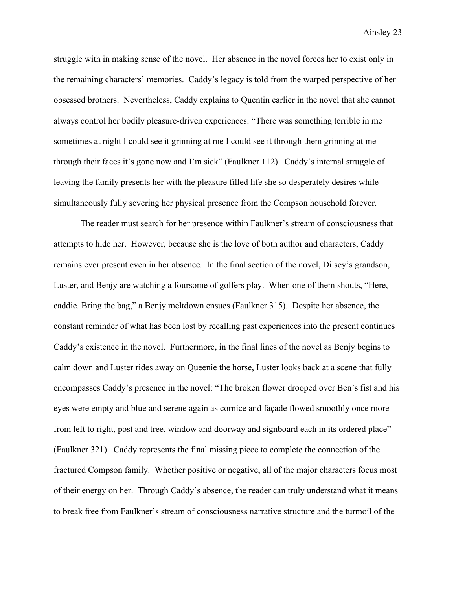struggle with in making sense of the novel. Her absence in the novel forces her to exist only in the remaining characters' memories. Caddy's legacy is told from the warped perspective of her obsessed brothers. Nevertheless, Caddy explains to Quentin earlier in the novel that she cannot always control her bodily pleasure-driven experiences: "There was something terrible in me sometimes at night I could see it grinning at me I could see it through them grinning at me through their faces it's gone now and I'm sick" (Faulkner 112). Caddy's internal struggle of leaving the family presents her with the pleasure filled life she so desperately desires while simultaneously fully severing her physical presence from the Compson household forever.

The reader must search for her presence within Faulkner's stream of consciousness that attempts to hide her. However, because she is the love of both author and characters, Caddy remains ever present even in her absence. In the final section of the novel, Dilsey's grandson, Luster, and Benjy are watching a foursome of golfers play. When one of them shouts, "Here, caddie. Bring the bag," a Benjy meltdown ensues (Faulkner 315). Despite her absence, the constant reminder of what has been lost by recalling past experiences into the present continues Caddy's existence in the novel. Furthermore, in the final lines of the novel as Benjy begins to calm down and Luster rides away on Queenie the horse, Luster looks back at a scene that fully encompasses Caddy's presence in the novel: "The broken flower drooped over Ben's fist and his eyes were empty and blue and serene again as cornice and façade flowed smoothly once more from left to right, post and tree, window and doorway and signboard each in its ordered place" (Faulkner 321). Caddy represents the final missing piece to complete the connection of the fractured Compson family. Whether positive or negative, all of the major characters focus most of their energy on her. Through Caddy's absence, the reader can truly understand what it means to break free from Faulkner's stream of consciousness narrative structure and the turmoil of the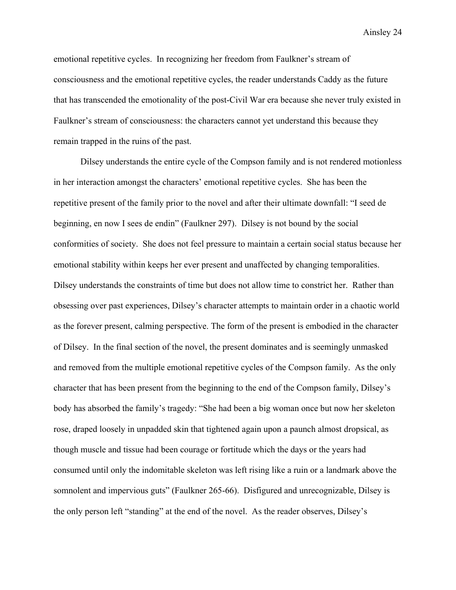emotional repetitive cycles. In recognizing her freedom from Faulkner's stream of consciousness and the emotional repetitive cycles, the reader understands Caddy as the future that has transcended the emotionality of the post-Civil War era because she never truly existed in Faulkner's stream of consciousness: the characters cannot yet understand this because they remain trapped in the ruins of the past.

Dilsey understands the entire cycle of the Compson family and is not rendered motionless in her interaction amongst the characters' emotional repetitive cycles. She has been the repetitive present of the family prior to the novel and after their ultimate downfall: "I seed de beginning, en now I sees de endin" (Faulkner 297). Dilsey is not bound by the social conformities of society. She does not feel pressure to maintain a certain social status because her emotional stability within keeps her ever present and unaffected by changing temporalities. Dilsey understands the constraints of time but does not allow time to constrict her. Rather than obsessing over past experiences, Dilsey's character attempts to maintain order in a chaotic world as the forever present, calming perspective. The form of the present is embodied in the character of Dilsey. In the final section of the novel, the present dominates and is seemingly unmasked and removed from the multiple emotional repetitive cycles of the Compson family. As the only character that has been present from the beginning to the end of the Compson family, Dilsey's body has absorbed the family's tragedy: "She had been a big woman once but now her skeleton rose, draped loosely in unpadded skin that tightened again upon a paunch almost dropsical, as though muscle and tissue had been courage or fortitude which the days or the years had consumed until only the indomitable skeleton was left rising like a ruin or a landmark above the somnolent and impervious guts" (Faulkner 265-66). Disfigured and unrecognizable, Dilsey is the only person left "standing" at the end of the novel. As the reader observes, Dilsey's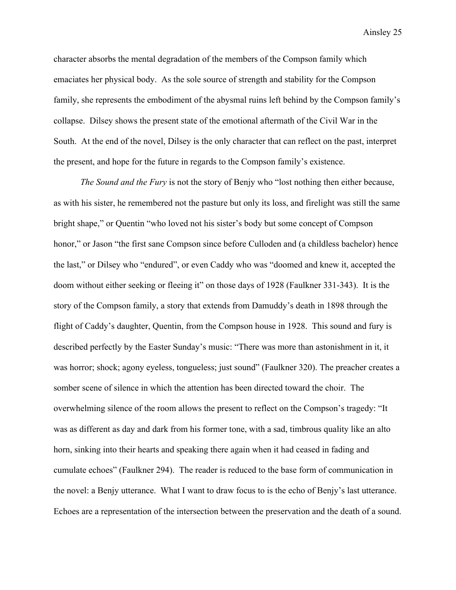character absorbs the mental degradation of the members of the Compson family which emaciates her physical body. As the sole source of strength and stability for the Compson family, she represents the embodiment of the abysmal ruins left behind by the Compson family's collapse. Dilsey shows the present state of the emotional aftermath of the Civil War in the South. At the end of the novel, Dilsey is the only character that can reflect on the past, interpret the present, and hope for the future in regards to the Compson family's existence.

*The Sound and the Fury* is not the story of Benjy who "lost nothing then either because, as with his sister, he remembered not the pasture but only its loss, and firelight was still the same bright shape," or Quentin "who loved not his sister's body but some concept of Compson honor," or Jason "the first sane Compson since before Culloden and (a childless bachelor) hence the last," or Dilsey who "endured", or even Caddy who was "doomed and knew it, accepted the doom without either seeking or fleeing it" on those days of 1928 (Faulkner 331-343). It is the story of the Compson family, a story that extends from Damuddy's death in 1898 through the flight of Caddy's daughter, Quentin, from the Compson house in 1928. This sound and fury is described perfectly by the Easter Sunday's music: "There was more than astonishment in it, it was horror; shock; agony eyeless, tongueless; just sound" (Faulkner 320). The preacher creates a somber scene of silence in which the attention has been directed toward the choir. The overwhelming silence of the room allows the present to reflect on the Compson's tragedy: "It was as different as day and dark from his former tone, with a sad, timbrous quality like an alto horn, sinking into their hearts and speaking there again when it had ceased in fading and cumulate echoes" (Faulkner 294). The reader is reduced to the base form of communication in the novel: a Benjy utterance. What I want to draw focus to is the echo of Benjy's last utterance. Echoes are a representation of the intersection between the preservation and the death of a sound.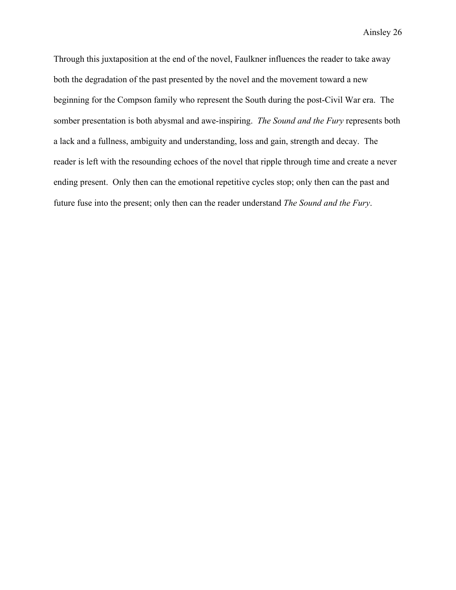Through this juxtaposition at the end of the novel, Faulkner influences the reader to take away both the degradation of the past presented by the novel and the movement toward a new beginning for the Compson family who represent the South during the post-Civil War era. The somber presentation is both abysmal and awe-inspiring. *The Sound and the Fury* represents both a lack and a fullness, ambiguity and understanding, loss and gain, strength and decay. The reader is left with the resounding echoes of the novel that ripple through time and create a never ending present. Only then can the emotional repetitive cycles stop; only then can the past and future fuse into the present; only then can the reader understand *The Sound and the Fury*.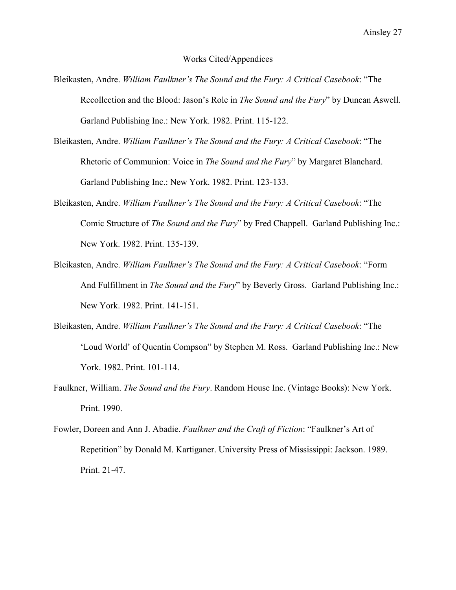## Works Cited/Appendices

- Bleikasten, Andre. *William Faulkner's The Sound and the Fury: A Critical Casebook*: "The Recollection and the Blood: Jason's Role in *The Sound and the Fury*" by Duncan Aswell. Garland Publishing Inc.: New York. 1982. Print. 115-122.
- Bleikasten, Andre. *William Faulkner's The Sound and the Fury: A Critical Casebook*: "The Rhetoric of Communion: Voice in *The Sound and the Fury*" by Margaret Blanchard. Garland Publishing Inc.: New York. 1982. Print. 123-133.
- Bleikasten, Andre. *William Faulkner's The Sound and the Fury: A Critical Casebook*: "The Comic Structure of *The Sound and the Fury*" by Fred Chappell. Garland Publishing Inc.: New York. 1982. Print. 135-139.
- Bleikasten, Andre. *William Faulkner's The Sound and the Fury: A Critical Casebook*: "Form And Fulfillment in *The Sound and the Fury*" by Beverly Gross. Garland Publishing Inc.: New York. 1982. Print. 141-151.
- Bleikasten, Andre. *William Faulkner's The Sound and the Fury: A Critical Casebook*: "The 'Loud World' of Quentin Compson" by Stephen M. Ross. Garland Publishing Inc.: New York. 1982. Print. 101-114.
- Faulkner, William. *The Sound and the Fury*. Random House Inc. (Vintage Books): New York. Print. 1990.
- Fowler, Doreen and Ann J. Abadie. *Faulkner and the Craft of Fiction*: "Faulkner's Art of Repetition" by Donald M. Kartiganer. University Press of Mississippi: Jackson. 1989. Print. 21-47.